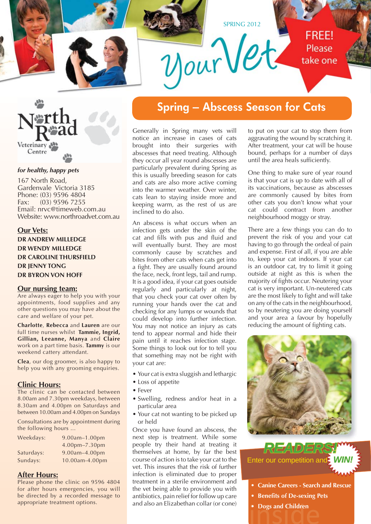



#### *for healthy, happy pets*

167 North Road, Gardenvale Victoria 3185 Phone: (03) 9596 4804 Fax: (03) 9596 7255 Email: nrvc@timeweb.com.au Website: www.northroadvet.com.au

#### **Our Vets:**

**DR ANDREW MILLEDGE DR WENDY MILLEDGE DR CAROLINE THURSFIELD DR JENNY TONG DR BYRON VON HOFF**

#### **Our nursing team:**

Are always eager to help you with your appointments, food supplies and any other questions you may have about the care and welfare of your pet.

**Charlotte**, **Rebecca** and **Lauren** are our full time nurses whilst **Tammie, Ingrid, Gillian, Leeanne, Manya** and **Claire** work on a part time basis. **Tammy** is our weekend cattery attendant.

**Clea**, our dog groomer, is also happy to help you with any grooming enquiries.

#### **Clinic Hours:**

The clinic can be contacted between 8.00am and 7.30pm weekdays, between 8.30am and 4.00pm on Saturdays and between 10.00am and 4.00pm on Sundays

Consultations are by appointment during the following hours ...

| $9.00$ am $-1.00$ pm |  |
|----------------------|--|
| 4.00pm-7.30pm        |  |
| 9.00am-4.00pm        |  |
| 10.00am-4.00pm       |  |
|                      |  |

### **After Hours:**

Please phone the clinic on 9596 4804 for after hours emergencies, you will be directed by a recorded message to appropriate treatment options.

### **Spring – Abscess Season for Cats**

Generally in Spring many vets will notice an increase in cases of cats brought into their surgeries with abscesses that need treating. Although they occur all year round abscesses are particularly prevalent during Spring as this is usually breeding season for cats and cats are also more active coming into the warmer weather. Over winter, cats lean to staying inside more and keeping warm, as the rest of us are inclined to do also.

An abscess is what occurs when an infection gets under the skin of the cat and fills with pus and fluid and will eventually burst. They are most commonly cause by scratches and bites from other cats when cats get into a fight. They are usually found around the face, neck, front legs, tail and rump. It is a good idea, if your cat goes outside regularly and particularly at night, that you check your cat over often by running your hands over the cat and checking for any lumps or wounds that could develop into further infection. You may not notice an injury as cats tend to appear normal and hide their pain until it reaches infection stage. Some things to look out for to tell you that something may not be right with your cat are:

- Your cat is extra sluggish and lethargic
- Loss of appetite
- Fever
- Swelling, redness and/or heat in a particular area
- Your cat not wanting to be picked up or held

Once you have found an abscess, the next step is treatment. While some people try their hand at treating it themselves at home, by far the best course of action is to take your cat to the vet. This insures that the risk of further infection is eliminated due to proper treatment in a sterile environment and the vet being able to provide you with antibiotics, pain relief for follow up care and also an Elizabethan collar (or cone)

to put on your cat to stop them from aggravating the wound by scratching it. After treatment, your cat will be house bound, perhaps for a number of days until the area heals sufficiently.

One thing to make sure of year round is that your cat is up to date with all of its vaccinations, because as abscesses are commonly caused by bites from other cats you don't know what your cat could contract from another neighbourhood moggy or stray.

There are a few things you can do to prevent the risk of you and your cat having to go through the ordeal of pain and expense. First of all, if you are able to, keep your cat indoors. If your cat is an outdoor cat, try to limit it going outside at night as this is when the majority of fights occur. Neutering your cat is very important. Un-neutered cats are the most likely to fight and will take on any of the cats in the neighbourhood, so by neutering you are doing yourself and your area a favour by hopefully reducing the amount of fighting cats.



**Enter our competition and** *READERS!*

- **Canine Careers Search and Rescue**
- **Benefits of De-sexing Pets**
- Dogs and Children<br>  **Dogs and Children**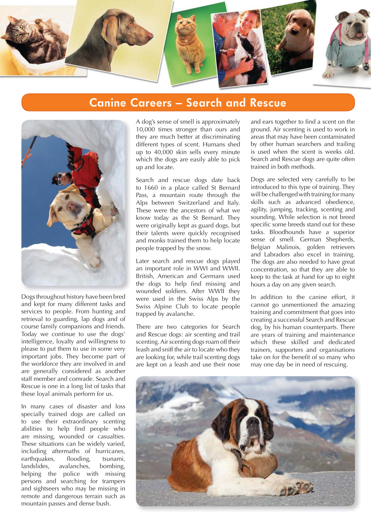

### **Canine Careers – Search and Rescue**



Dogs throughout history have been bred and kept for many different tasks and services to people. From hunting and retrieval to guarding, lap dogs and of course family companions and friends. Today we continue to use the dogs' intelligence, loyalty and willingness to please to put them to use in some very important jobs. They become part of the workforce they are involved in and are generally considered as another staff member and comrade. Search and Rescue is one in a long list of tasks that these loyal animals perform for us.

In many cases of disaster and loss specially trained dogs are called on to use their extraordinary scenting abilities to help find people who are missing, wounded or casualties. These situations can be widely varied, including aftermaths of hurricanes, earthquakes, flooding, tsunami, landslides, avalanches, bombing, helping the police with missing persons and searching for trampers and sightseers who may be missing in remote and dangerous terrain such as mountain passes and dense bush.

A dog's sense of smell is approximately 10,000 times stronger than ours and they are much better at discriminating different types of scent. Humans shed up to 40,000 skin sells every minute which the dogs are easily able to pick up and locate.

Search and rescue dogs date back to 1660 in a place called St Bernard Pass, a mountain route through the Alps between Switzerland and Italy. These were the ancestors of what we know today as the St Bernard. They were originally kept as guard dogs, but their talents were quickly recognised and monks trained them to help locate people trapped by the snow.

Later search and rescue dogs played an important role in WWI and WWII. British, American and Germans used the dogs to help find missing and wounded soldiers. After WWII they were used in the Swiss Alps by the Swiss Alpine Club to locate people trapped by avalanche.

There are two categories for Search and Rescue dogs: air scenting and trail scenting. Air scenting dogs roam off their leash and sniff the air to locate who they are looking for, while trail scenting dogs are kept on a leash and use their nose

and ears together to find a scent on the ground. Air scenting is used to work in areas that may have been contaminated by other human searchers and trailing is used when the scent is weeks old. Search and Rescue dogs are quite often trained in both methods.

Dogs are selected very carefully to be introduced to this type of training. They will be challenged with training for many skills such as advanced obedience, agility, jumping, tracking, scenting and sounding. While selection is not breed specific some breeds stand out for these tasks. Bloodhounds have a superior sense of smell. German Shepherds, Belgian Malinois, golden retrievers and Labradors also excel in training. The dogs are also needed to have great concentration, so that they are able to keep to the task at hand for up to eight hours a day on any given search.

In addition to the canine effort, it cannot go unmentioned the amazing training and commitment that goes into creating a successful Search and Rescue dog, by his human counterparts. There are years of training and maintenance which these skilled and dedicated trainers, supporters and organisations take on for the benefit of so many who may one day be in need of rescuing.

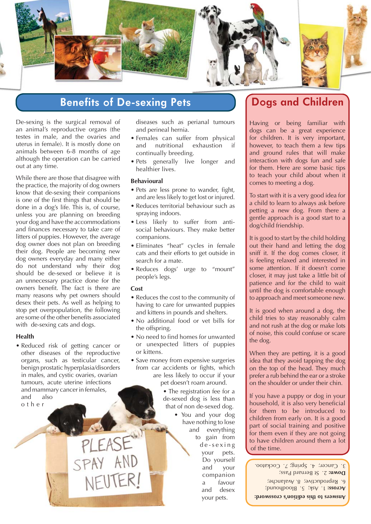

# **Benefits of De-sexing Pets Dogs and Children**

De-sexing is the surgical removal of an animal's reproductive organs (the testes in male, and the ovaries and uterus in female). It is mostly done on animals between 6-8 months of age although the operation can be carried out at any time.

While there are those that disagree with the practice, the majority of dog owners know that de-sexing their companions is one of the first things that should be done in a dog's life. This is, of course, unless you are planning on breeding your dog and have the accommodations and finances necessary to take care of litters of puppies. However, the average dog owner does not plan on breeding their dog. People are becoming new dog owners everyday and many either do not understand why their dog should be de-sexed or believe it is an unnecessary practice done for the owners benefit. The fact is there are many reasons why pet owners should desex their pets. As well as helping to stop pet overpopulation, the following are some of the other benefits associated with de-sexing cats and dogs.

#### **Health**

• Reduced risk of getting cancer or other diseases of the reproductive organs, such as testicular cancer, benign prostatic hyperplasia/disorders in males, and cystic ovaries, ovarian tumours, acute uterine infections and mammary cancer in females, and also o t h e r

diseases such as perianal tumours and perineal hernia.

- Females can suffer from physical and nutritional exhaustion if continually breeding.
- Pets generally live longer and healthier lives.

#### **Behavioural**

- Pets are less prone to wander, fight, and are less likely to get lost or injured.
- Reduces territorial behaviour such as spraying indoors.
- Less likely to suffer from antisocial behaviours. They make better companions.
- Eliminates "heat" cycles in female cats and their efforts to get outside in search for a mate.
- Reduces dogs' urge to "mount" people's legs.

#### **Cost**

**JFUTER!** 

- Reduces the cost to the community of having to care for unwanted puppies and kittens in pounds and shelters.
- No additional food or vet bills for the offspring.
- No need to find homes for unwanted or unexpected litters of puppies or kittens.
- Save money from expensive surgeries from car accidents or fights, which are less likely to occur if your pet doesn't roam around.
	- The registration fee for a de-sexed dog is less than that of non de-sexed dog.

• You and your dog have nothing to lose and everything to gain from d e - s e x i n g your pets. Do yourself and your companion a favour and desex your pets.

Having or being familiar with dogs can be a great experience for children. It is very important, however, to teach them a few tips and ground rules that will make interaction with dogs fun and safe for them. Here are some basic tips to teach your child about when it comes to meeting a dog.

To start with it is a very good idea for a child to learn to always ask before petting a new dog. From there a gentle approach is a good start to a dog/child friendship.

It is good to start by the child holding out their hand and letting the dog sniff it. If the dog comes closer, it is feeling relaxed and interested in some attention. If it doesn't come closer, it may just take a little bit of patience and for the child to wait until the dog is comfortable enough to approach and meet someone new.

It is good when around a dog, the child tries to stay reasonably calm and not rush at the dog or make lots of noise, this could confuse or scare the dog.

When they are petting, it is a good idea that they avoid tapping the dog on the top of the head. They much prefer a rub behind the ear or a stroke on the shoulder or under their chin.

If you have a puppy or dog in your household, it is also very beneficial for them to be introduced to children from early on. It is a good part of social training and positive for them even if they are not going to have children around them a lot of the time.

 1. Ask; 5. Bloodhound; **Across:** 6. Reproductive; 8. Avalanche; 2. St Bernard Pass; **Down:** 3. Cancer; 4. Spring; 7. Cockatoo.

**Answers to this edition's crossword:**